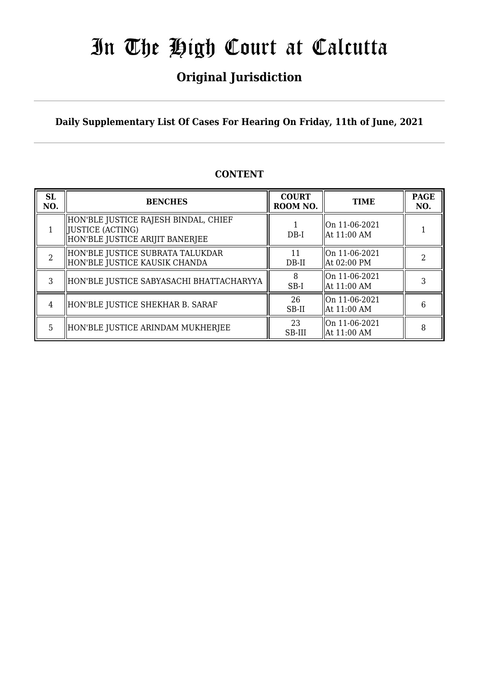## **Original Jurisdiction**

**Daily Supplementary List Of Cases For Hearing On Friday, 11th of June, 2021**

### **CONTENT**

| <b>SL</b><br>NO. | <b>BENCHES</b>                                                                                | <b>COURT</b><br>ROOM NO. | <b>TIME</b>                              | <b>PAGE</b><br>NO. |
|------------------|-----------------------------------------------------------------------------------------------|--------------------------|------------------------------------------|--------------------|
|                  | HON'BLE JUSTICE RAJESH BINDAL, CHIEF<br>  JUSTICE (ACTING)<br>HON'BLE JUSTICE ARIJIT BANERJEE | $DB-I$                   | On 11-06-2021<br>  At 11:00 AM           |                    |
| $\overline{2}$   | HON'BLE JUSTICE SUBRATA TALUKDAR<br>HON'BLE JUSTICE KAUSIK CHANDA                             | 11<br>DB-II              | On 11-06-2021<br>  At 02:00 PM           |                    |
| 3                | HON'BLE JUSTICE SABYASACHI BHATTACHARYYA                                                      | 8<br>SB-I                | On 11-06-2021<br>$\parallel$ At 11:00 AM |                    |
| 4                | HON'BLE JUSTICE SHEKHAR B. SARAF                                                              | 26<br>SB-II              | On 11-06-2021<br>  At 11:00 AM           | 6                  |
| 5                | HON'BLE JUSTICE ARINDAM MUKHERJEE                                                             | 23<br>SB-III             | On 11-06-2021<br>  At 11:00 AM           | 8                  |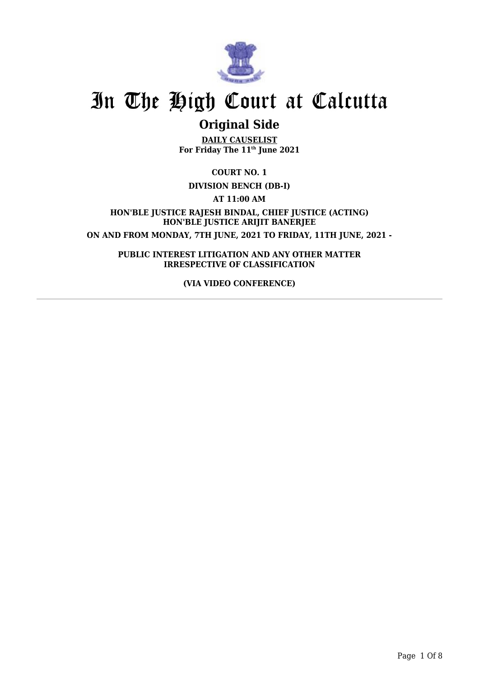

## **Original Side**

**DAILY CAUSELIST For Friday The 11th June 2021**

**COURT NO. 1**

**DIVISION BENCH (DB-I)**

**AT 11:00 AM**

**HON'BLE JUSTICE RAJESH BINDAL, CHIEF JUSTICE (ACTING) HON'BLE JUSTICE ARIJIT BANERJEE ON AND FROM MONDAY, 7TH JUNE, 2021 TO FRIDAY, 11TH JUNE, 2021 -**

**PUBLIC INTEREST LITIGATION AND ANY OTHER MATTER IRRESPECTIVE OF CLASSIFICATION**

**(VIA VIDEO CONFERENCE)**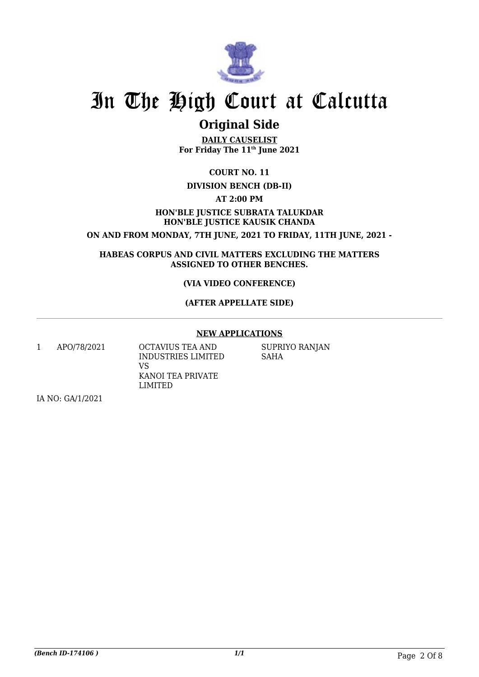

## **Original Side**

**DAILY CAUSELIST For Friday The 11th June 2021**

**COURT NO. 11**

#### **DIVISION BENCH (DB-II)**

**AT 2:00 PM**

#### **HON'BLE JUSTICE SUBRATA TALUKDAR HON'BLE JUSTICE KAUSIK CHANDA**

**ON AND FROM MONDAY, 7TH JUNE, 2021 TO FRIDAY, 11TH JUNE, 2021 -**

**HABEAS CORPUS AND CIVIL MATTERS EXCLUDING THE MATTERS ASSIGNED TO OTHER BENCHES.**

#### **(VIA VIDEO CONFERENCE)**

#### **(AFTER APPELLATE SIDE)**

#### **NEW APPLICATIONS**

1 APO/78/2021 OCTAVIUS TEA AND VS

INDUSTRIES LIMITED KANOI TEA PRIVATE LIMITED

SUPRIYO RANJAN SAHA

IA NO: GA/1/2021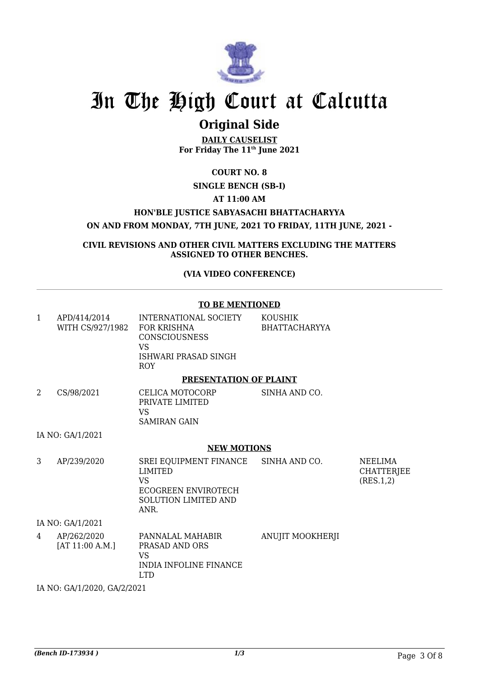

### **Original Side**

**DAILY CAUSELIST For Friday The 11th June 2021**

**COURT NO. 8**

#### **SINGLE BENCH (SB-I)**

**AT 11:00 AM**

**HON'BLE JUSTICE SABYASACHI BHATTACHARYYA**

**ON AND FROM MONDAY, 7TH JUNE, 2021 TO FRIDAY, 11TH JUNE, 2021 -**

**CIVIL REVISIONS AND OTHER CIVIL MATTERS EXCLUDING THE MATTERS ASSIGNED TO OTHER BENCHES.**

**(VIA VIDEO CONFERENCE)**

**TO BE MENTIONED**

| $\mathbf{1}$ | APD/414/2014<br>WITH CS/927/1982 FOR KRISHNA | INTERNATIONAL SOCIETY KOUSHIK<br><b>CONSCIOUSNESS</b><br><b>VS</b><br>ISHWARI PRASAD SINGH<br><b>ROY</b>                    | <b>BHATTACHARYYA</b>    |                                           |
|--------------|----------------------------------------------|-----------------------------------------------------------------------------------------------------------------------------|-------------------------|-------------------------------------------|
|              |                                              | PRESENTATION OF PLAINT                                                                                                      |                         |                                           |
| 2            | CS/98/2021                                   | CELICA MOTOCORP<br>PRIVATE LIMITED<br>VS<br><b>SAMIRAN GAIN</b>                                                             | SINHA AND CO.           |                                           |
|              | IA NO: GA/1/2021                             |                                                                                                                             |                         |                                           |
|              |                                              | <b>NEW MOTIONS</b>                                                                                                          |                         |                                           |
| 3            | AP/239/2020                                  | SREI EQUIPMENT FINANCE SINHA AND CO.<br><b>LIMITED</b><br>VS.<br>ECOGREEN ENVIROTECH<br><b>SOLUTION LIMITED AND</b><br>ANR. |                         | NEELIMA<br><b>CHATTERJEE</b><br>(RES.1,2) |
|              | IA NO: GA/1/2021                             |                                                                                                                             |                         |                                           |
| 4            | AP/262/2020<br>[AT 11:00 A.M.]               | PANNALAL MAHABIR<br>PRASAD AND ORS<br>VS<br><b>INDIA INFOLINE FINANCE</b><br><b>LTD</b>                                     | <b>ANUJIT MOOKHERJI</b> |                                           |

IA NO: GA/1/2020, GA/2/2021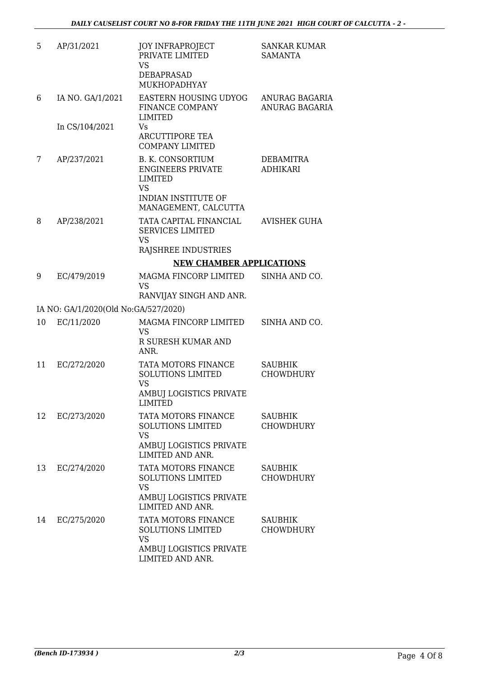| 5  | AP/31/2021                           | <b>JOY INFRAPROJECT</b><br>PRIVATE LIMITED<br>VS.<br>DEBAPRASAD<br>MUKHOPADHYAY                                    | <b>SANKAR KUMAR</b><br><b>SAMANTA</b>   |
|----|--------------------------------------|--------------------------------------------------------------------------------------------------------------------|-----------------------------------------|
| 6  | IA NO. GA/1/2021                     | EASTERN HOUSING UDYOG<br>FINANCE COMPANY<br><b>LIMITED</b>                                                         | ANURAG BAGARIA<br><b>ANURAG BAGARIA</b> |
|    | In CS/104/2021                       | Vs<br><b>ARCUTTIPORE TEA</b><br><b>COMPANY LIMITED</b>                                                             |                                         |
| 7  | AP/237/2021                          | <b>B. K. CONSORTIUM</b><br><b>ENGINEERS PRIVATE</b><br>LIMITED<br><b>VS</b>                                        | DEBAMITRA<br><b>ADHIKARI</b>            |
|    |                                      | <b>INDIAN INSTITUTE OF</b><br>MANAGEMENT, CALCUTTA                                                                 |                                         |
| 8  | AP/238/2021                          | TATA CAPITAL FINANCIAL<br><b>SERVICES LIMITED</b><br><b>VS</b>                                                     | AVISHEK GUHA                            |
|    |                                      | RAJSHREE INDUSTRIES<br><b>NEW CHAMBER APPLICATIONS</b>                                                             |                                         |
| 9  | EC/479/2019                          | MAGMA FINCORP LIMITED                                                                                              | SINHA AND CO.                           |
|    |                                      | <b>VS</b><br>RANVIJAY SINGH AND ANR.                                                                               |                                         |
|    | IA NO: GA/1/2020(Old No:GA/527/2020) |                                                                                                                    |                                         |
| 10 | EC/11/2020                           | MAGMA FINCORP LIMITED<br>VS<br>R SURESH KUMAR AND                                                                  | SINHA AND CO.                           |
|    |                                      | ANR.                                                                                                               |                                         |
| 11 | EC/272/2020                          | TATA MOTORS FINANCE<br>SOLUTIONS LIMITED<br><b>VS</b><br>AMBUJ LOGISTICS PRIVATE                                   | <b>SAUBHIK</b><br><b>CHOWDHURY</b>      |
|    |                                      | <b>LIMITED</b>                                                                                                     |                                         |
| 12 | EC/273/2020                          | TATA MOTORS FINANCE<br><b>SOLUTIONS LIMITED</b><br><b>VS</b><br>AMBUJ LOGISTICS PRIVATE<br><b>LIMITED AND ANR.</b> | <b>SAUBHIK</b><br><b>CHOWDHURY</b>      |
| 13 | EC/274/2020                          | TATA MOTORS FINANCE<br><b>SOLUTIONS LIMITED</b><br><b>VS</b>                                                       | <b>SAUBHIK</b><br><b>CHOWDHURY</b>      |
|    |                                      | AMBUJ LOGISTICS PRIVATE<br><b>LIMITED AND ANR.</b>                                                                 |                                         |
| 14 | EC/275/2020                          | TATA MOTORS FINANCE<br><b>SOLUTIONS LIMITED</b><br><b>VS</b>                                                       | <b>SAUBHIK</b><br><b>CHOWDHURY</b>      |
|    |                                      | AMBUJ LOGISTICS PRIVATE<br>LIMITED AND ANR.                                                                        |                                         |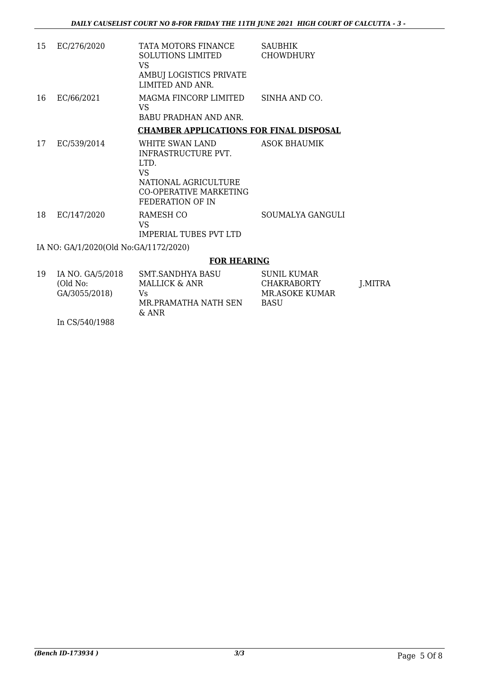| 15 | EC/276/2020                           | TATA MOTORS FINANCE<br><b>SOLUTIONS LIMITED</b><br>VS.<br>AMBUJ LOGISTICS PRIVATE<br>LIMITED AND ANR.                       | <b>SAUBHIK</b><br><b>CHOWDHURY</b> |
|----|---------------------------------------|-----------------------------------------------------------------------------------------------------------------------------|------------------------------------|
| 16 | EC/66/2021                            | MAGMA FINCORP LIMITED<br>VS.<br>BABU PRADHAN AND ANR.                                                                       | SINHA AND CO.                      |
|    |                                       | <b>CHAMBER APPLICATIONS FOR FINAL DISPOSAL</b>                                                                              |                                    |
| 17 | EC/539/2014                           | WHITE SWAN LAND<br>INFRASTRUCTURE PVT.<br>LTD.<br>VS.<br>NATIONAL AGRICULTURE<br>CO-OPERATIVE MARKETING<br>FEDERATION OF IN | <b>ASOK BHAUMIK</b>                |
| 18 | EC/147/2020                           | RAMESH CO<br>VS<br><b>IMPERIAL TUBES PVT LTD</b>                                                                            | SOUMALYA GANGULI                   |
|    | IA NO: GA/1/2020(Old No:GA/1172/2020) |                                                                                                                             |                                    |
|    |                                       | <b>FOR HEARING</b>                                                                                                          |                                    |

#### 19 IA NO. GA/5/2018 (Old No: GA/3055/2018) In CS/540/1988 SMT.SANDHYA BASU MALLICK & ANR Vs MR.PRAMATHA NATH SEN & ANR SUNIL KUMAR CHAKRABORTY MR.ASOKE KUMAR BASU J.MITRA

*(Bench ID-173934 ) 3/3* Page 5 Of 8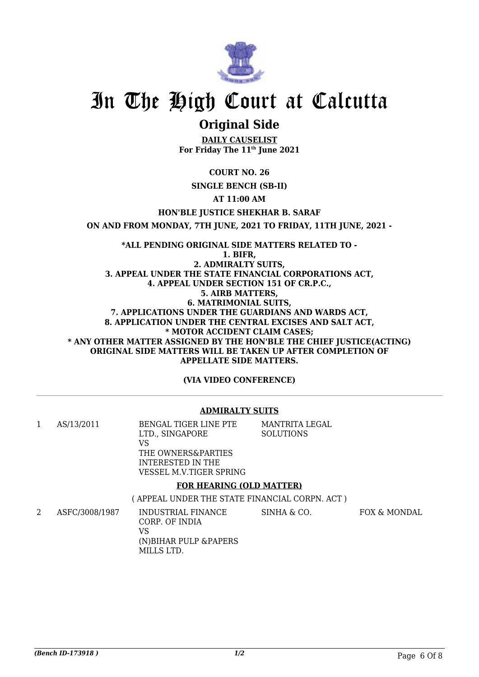

### **Original Side**

**DAILY CAUSELIST For Friday The 11th June 2021**

**COURT NO. 26**

#### **SINGLE BENCH (SB-II)**

**AT 11:00 AM**

**HON'BLE JUSTICE SHEKHAR B. SARAF**

**ON AND FROM MONDAY, 7TH JUNE, 2021 TO FRIDAY, 11TH JUNE, 2021 -**

**\*ALL PENDING ORIGINAL SIDE MATTERS RELATED TO - 1. BIFR, 2. ADMIRALTY SUITS, 3. APPEAL UNDER THE STATE FINANCIAL CORPORATIONS ACT, 4. APPEAL UNDER SECTION 151 OF CR.P.C., 5. AIRB MATTERS, 6. MATRIMONIAL SUITS, 7. APPLICATIONS UNDER THE GUARDIANS AND WARDS ACT, 8. APPLICATION UNDER THE CENTRAL EXCISES AND SALT ACT, \* MOTOR ACCIDENT CLAIM CASES; \* ANY OTHER MATTER ASSIGNED BY THE HON'BLE THE CHIEF JUSTICE(ACTING) ORIGINAL SIDE MATTERS WILL BE TAKEN UP AFTER COMPLETION OF APPELLATE SIDE MATTERS.**

**(VIA VIDEO CONFERENCE)**

#### **ADMIRALTY SUITS**

1 AS/13/2011 BENGAL TIGER LINE PTE LTD., SINGAPORE VS THE OWNERS&PARTIES INTERESTED IN THE VESSEL M.V.TIGER SPRING MANTRITA LEGAL **SOLUTIONS FOR HEARING (OLD MATTER)**

( APPEAL UNDER THE STATE FINANCIAL CORPN. ACT )

2 ASFC/3008/1987 INDUSTRIAL FINANCE CORP. OF INDIA VS (N)BIHAR PULP &PAPERS MILLS LTD. SINHA & CO. FOX & MONDAL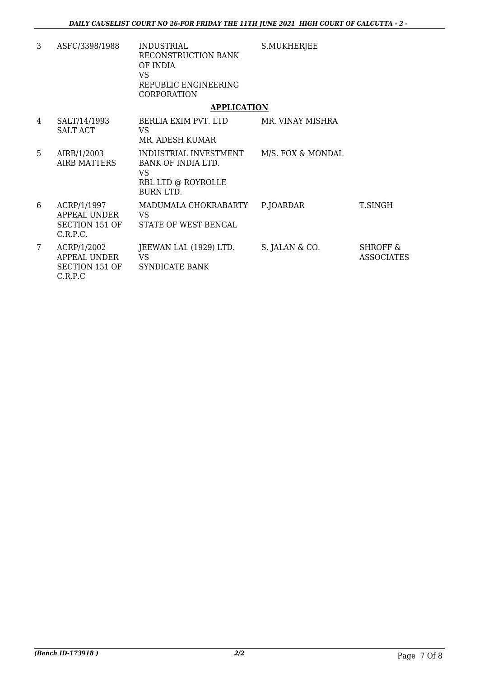S.MUKHERJEE

3 ASFC/3398/1988 INDUSTRIAL RECONSTRUCTION BANK OF INDIA VS REPUBLIC ENGINEERING **CORPORATION** 

#### **APPLICATION**

| 4               | SALT/14/1993<br><b>SALT ACT</b>                                  | BERLIA EXIM PVT. LTD<br>VS<br>MR. ADESH KUMAR                                               | MR. VINAY MISHRA  |                                   |
|-----------------|------------------------------------------------------------------|---------------------------------------------------------------------------------------------|-------------------|-----------------------------------|
| 5.              | AIRB/1/2003<br>AIRB MATTERS                                      | INDUSTRIAL INVESTMENT<br>BANK OF INDIA LTD.<br>VS<br>RBL LTD @ ROYROLLE<br><b>BURN LTD.</b> | M/S. FOX & MONDAL |                                   |
| 6               | ACRP/1/1997<br>APPEAL UNDER<br><b>SECTION 151 OF</b><br>C.R.P.C. | MADUMALA CHOKRABARTY<br>VS<br>STATE OF WEST BENGAL                                          | P.JOARDAR         | T.SINGH                           |
| $7\overline{ }$ | ACRP/1/2002<br>APPEAL UNDER<br><b>SECTION 151 OF</b><br>C.R.P.C  | JEEWAN LAL (1929) LTD.<br>VS<br>SYNDICATE BANK                                              | S. JALAN & CO.    | <b>SHROFF &amp;</b><br>ASSOCIATES |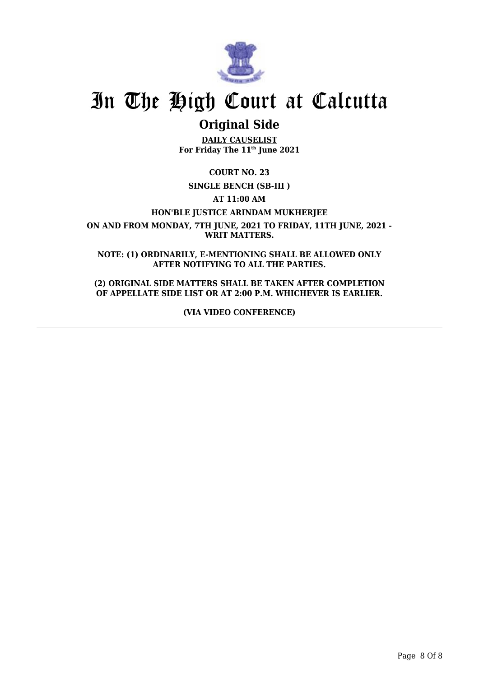

### **Original Side**

**DAILY CAUSELIST For Friday The 11th June 2021**

**COURT NO. 23**

**SINGLE BENCH (SB-III )**

**AT 11:00 AM**

**HON'BLE JUSTICE ARINDAM MUKHERJEE**

**ON AND FROM MONDAY, 7TH JUNE, 2021 TO FRIDAY, 11TH JUNE, 2021 - WRIT MATTERS.**

**NOTE: (1) ORDINARILY, E-MENTIONING SHALL BE ALLOWED ONLY AFTER NOTIFYING TO ALL THE PARTIES.**

**(2) ORIGINAL SIDE MATTERS SHALL BE TAKEN AFTER COMPLETION OF APPELLATE SIDE LIST OR AT 2:00 P.M. WHICHEVER IS EARLIER.**

**(VIA VIDEO CONFERENCE)**